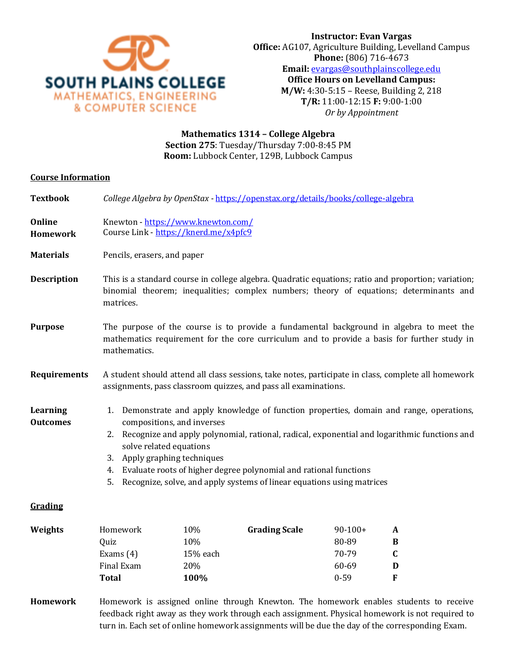

## **Mathematics 1314 – College Algebra Section 275**: Tuesday/Thursday 7:00-8:45 PM **Room:** Lubbock Center, 129B, Lubbock Campus

## **Course Information**

**Textbook** *College Algebra by OpenStax -* <https://openstax.org/details/books/college-algebra>

**Online Homework** Knewton - <https://www.knewton.com/> Course Link - <https://knerd.me/x4pfc9>

**Materials** Pencils, erasers, and paper

- **Description** This is a standard course in college algebra. Quadratic equations; ratio and proportion; variation; binomial theorem; inequalities; complex numbers; theory of equations; determinants and matrices.
- **Purpose** The purpose of the course is to provide a fundamental background in algebra to meet the mathematics requirement for the core curriculum and to provide a basis for further study in mathematics.
- **Requirements** A student should attend all class sessions, take notes, participate in class, complete all homework assignments, pass classroom quizzes, and pass all examinations.

**Learning Outcomes**

- 1. Demonstrate and apply knowledge of function properties, domain and range, operations, compositions, and inverses
- 2. Recognize and apply polynomial, rational, radical, exponential and logarithmic functions and solve related equations
- 3. Apply graphing techniques
- 4. Evaluate roots of higher degree polynomial and rational functions
- 5. Recognize, solve, and apply systems of linear equations using matrices

## **Grading**

| Weights | Homework    | 10%        | <b>Grading Scale</b> | $90-100+$ | A |
|---------|-------------|------------|----------------------|-----------|---|
|         | Ouiz        | 10%        |                      | 80-89     | B |
|         | Exams $(4)$ | 15% each   |                      | 70-79     |   |
|         | Final Exam  | <b>20%</b> |                      | 60-69     | D |
|         | Total       | 100%       |                      | $0 - 59$  | F |
|         |             |            |                      |           |   |

**Homework** Homework is assigned online through Knewton. The homework enables students to receive feedback right away as they work through each assignment. Physical homework is not required to turn in. Each set of online homework assignments will be due the day of the corresponding Exam.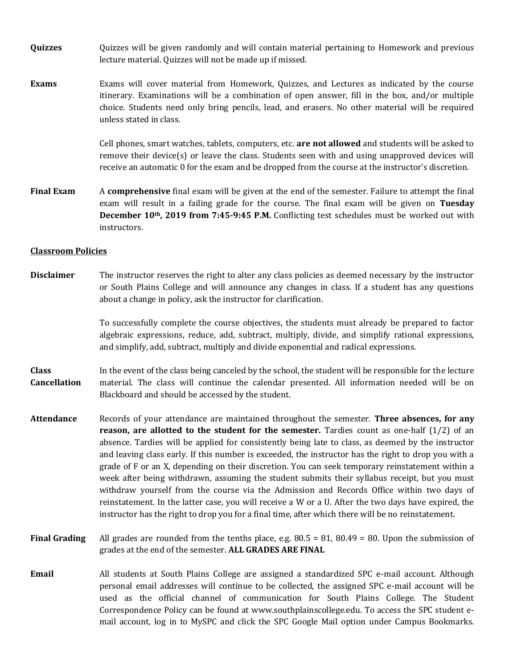- **Quizzes** Quizzes will be given randomly and will contain material pertaining to Homework and previous lecture material. Quizzes will not be made up if missed.
- **Exams** Exams will cover material from Homework, Quizzes, and Lectures as indicated by the course itinerary. Examinations will be a combination of open answer, fill in the box, and/or multiple choice. Students need only bring pencils, lead, and erasers. No other material will be required unless stated in class.

Cell phones, smart watches, tablets, computers, etc. **are not allowed** and students will be asked to remove their device(s) or leave the class. Students seen with and using unapproved devices will receive an automatic 0 for the exam and be dropped from the course at the instructor's discretion.

**Final Exam** A **comprehensive** final exam will be given at the end of the semester. Failure to attempt the final exam will result in a failing grade for the course. The final exam will be given on **Tuesday December 10th, 2019 from 7:45-9:45 P.M.** Conflicting test schedules must be worked out with instructors.

#### **Classroom Policies**

**Disclaimer** The instructor reserves the right to alter any class policies as deemed necessary by the instructor or South Plains College and will announce any changes in class. If a student has any questions about a change in policy, ask the instructor for clarification.

> To successfully complete the course objectives, the students must already be prepared to factor algebraic expressions, reduce, add, subtract, multiply, divide, and simplify rational expressions, and simplify, add, subtract, multiply and divide exponential and radical expressions.

**Class Cancellation**  In the event of the class being canceled by the school, the student will be responsible for the lecture material. The class will continue the calendar presented. All information needed will be on Blackboard and should be accessed by the student.

- **Attendance** Records of your attendance are maintained throughout the semester. **Three absences, for any reason, are allotted to the student for the semester.** Tardies count as one-half (1/2) of an absence. Tardies will be applied for consistently being late to class, as deemed by the instructor and leaving class early. If this number is exceeded, the instructor has the right to drop you with a grade of F or an X, depending on their discretion. You can seek temporary reinstatement within a week after being withdrawn, assuming the student submits their syllabus receipt, but you must withdraw yourself from the course via the Admission and Records Office within two days of reinstatement. In the latter case, you will receive a W or a U. After the two days have expired, the instructor has the right to drop you for a final time, after which there will be no reinstatement.
- **Final Grading** All grades are rounded from the tenths place, e.g. 80.5 = 81, 80.49 = 80. Upon the submission of grades at the end of the semester. **ALL GRADES ARE FINAL**
- **Email** All students at South Plains College are assigned a standardized SPC e-mail account. Although personal email addresses will continue to be collected, the assigned SPC e-mail account will be used as the official channel of communication for South Plains College. The Student Correspondence Policy can be found at www.southplainscollege.edu. To access the SPC student email account, log in to MySPC and click the SPC Google Mail option under Campus Bookmarks.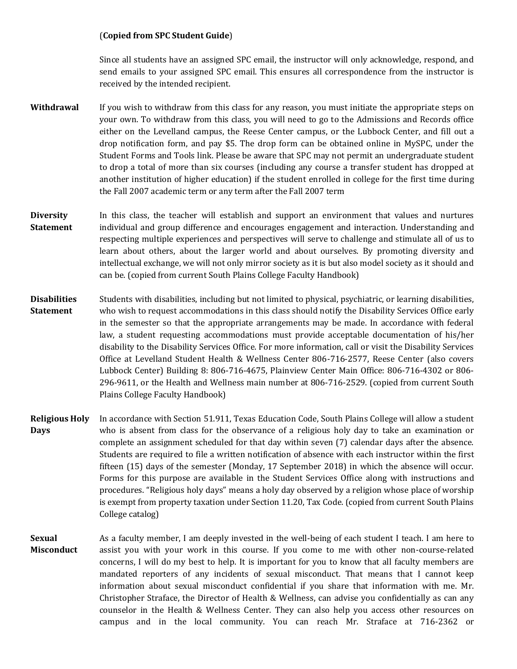## (**Copied from SPC Student Guide**)

Since all students have an assigned SPC email, the instructor will only acknowledge, respond, and send emails to your assigned SPC email. This ensures all correspondence from the instructor is received by the intended recipient.

- **Withdrawal** If you wish to withdraw from this class for any reason, you must initiate the appropriate steps on your own. To withdraw from this class, you will need to go to the Admissions and Records office either on the Levelland campus, the Reese Center campus, or the Lubbock Center, and fill out a drop notification form, and pay \$5. The drop form can be obtained online in MySPC, under the Student Forms and Tools link. Please be aware that SPC may not permit an undergraduate student to drop a total of more than six courses (including any course a transfer student has dropped at another institution of higher education) if the student enrolled in college for the first time during the Fall 2007 academic term or any term after the Fall 2007 term
- **Diversity Statement** In this class, the teacher will establish and support an environment that values and nurtures individual and group difference and encourages engagement and interaction. Understanding and respecting multiple experiences and perspectives will serve to challenge and stimulate all of us to learn about others, about the larger world and about ourselves. By promoting diversity and intellectual exchange, we will not only mirror society as it is but also model society as it should and can be. (copied from current South Plains College Faculty Handbook)
- **Disabilities Statement** Students with disabilities, including but not limited to physical, psychiatric, or learning disabilities, who wish to request accommodations in this class should notify the Disability Services Office early in the semester so that the appropriate arrangements may be made. In accordance with federal law, a student requesting accommodations must provide acceptable documentation of his/her disability to the Disability Services Office. For more information, call or visit the Disability Services Office at Levelland Student Health & Wellness Center 806-716-2577, Reese Center (also covers Lubbock Center) Building 8: 806-716-4675, Plainview Center Main Office: 806-716-4302 or 806- 296-9611, or the Health and Wellness main number at 806-716-2529. (copied from current South Plains College Faculty Handbook)
- **Religious Holy Days** In accordance with Section 51.911, Texas Education Code, South Plains College will allow a student who is absent from class for the observance of a religious holy day to take an examination or complete an assignment scheduled for that day within seven (7) calendar days after the absence. Students are required to file a written notification of absence with each instructor within the first fifteen (15) days of the semester (Monday, 17 September 2018) in which the absence will occur. Forms for this purpose are available in the Student Services Office along with instructions and procedures. "Religious holy days" means a holy day observed by a religion whose place of worship is exempt from property taxation under Section 11.20, Tax Code. (copied from current South Plains College catalog)
- **Sexual Misconduct** As a faculty member, I am deeply invested in the well-being of each student I teach. I am here to assist you with your work in this course. If you come to me with other non-course-related concerns, I will do my best to help. It is important for you to know that all faculty members are mandated reporters of any incidents of sexual misconduct. That means that I cannot keep information about sexual misconduct confidential if you share that information with me. Mr. Christopher Straface, the Director of Health & Wellness, can advise you confidentially as can any counselor in the Health & Wellness Center. They can also help you access other resources on campus and in the local community. You can reach Mr. Straface at 716-2362 or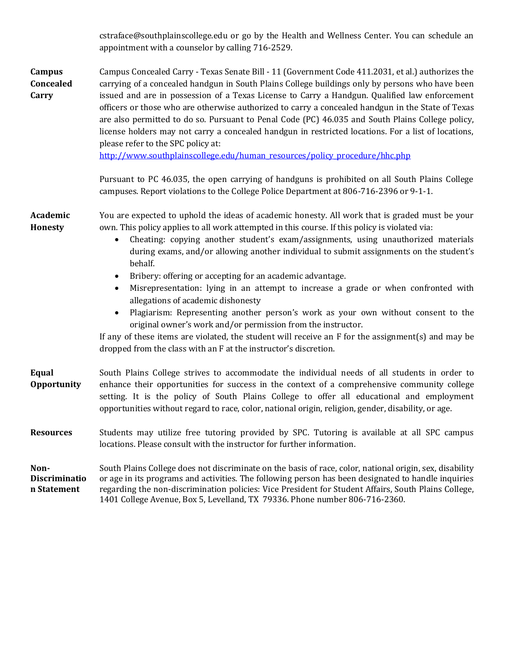|                                             | cstraface@southplainscollege.edu or go by the Health and Wellness Center. You can schedule an<br>appointment with a counselor by calling 716-2529.                                                                                                                                                                                                                                                                                                                                                                                                                                                                                                                                                                                                                                                                                                                                                                                                                         |  |  |
|---------------------------------------------|----------------------------------------------------------------------------------------------------------------------------------------------------------------------------------------------------------------------------------------------------------------------------------------------------------------------------------------------------------------------------------------------------------------------------------------------------------------------------------------------------------------------------------------------------------------------------------------------------------------------------------------------------------------------------------------------------------------------------------------------------------------------------------------------------------------------------------------------------------------------------------------------------------------------------------------------------------------------------|--|--|
| Campus<br>Concealed<br>Carry                | Campus Concealed Carry - Texas Senate Bill - 11 (Government Code 411.2031, et al.) authorizes the<br>carrying of a concealed handgun in South Plains College buildings only by persons who have been<br>issued and are in possession of a Texas License to Carry a Handgun. Qualified law enforcement<br>officers or those who are otherwise authorized to carry a concealed handgun in the State of Texas<br>are also permitted to do so. Pursuant to Penal Code (PC) 46.035 and South Plains College policy,<br>license holders may not carry a concealed handgun in restricted locations. For a list of locations,<br>please refer to the SPC policy at:<br>http://www.southplainscollege.edu/human_resources/policy_procedure/hhc.php                                                                                                                                                                                                                                  |  |  |
|                                             | Pursuant to PC 46.035, the open carrying of handguns is prohibited on all South Plains College<br>campuses. Report violations to the College Police Department at 806-716-2396 or 9-1-1.                                                                                                                                                                                                                                                                                                                                                                                                                                                                                                                                                                                                                                                                                                                                                                                   |  |  |
| Academic<br>Honesty                         | You are expected to uphold the ideas of academic honesty. All work that is graded must be your<br>own. This policy applies to all work attempted in this course. If this policy is violated via:<br>Cheating: copying another student's exam/assignments, using unauthorized materials<br>$\bullet$<br>during exams, and/or allowing another individual to submit assignments on the student's<br>behalf.<br>Bribery: offering or accepting for an academic advantage.<br>$\bullet$<br>Misrepresentation: lying in an attempt to increase a grade or when confronted with<br>$\bullet$<br>allegations of academic dishonesty<br>Plagiarism: Representing another person's work as your own without consent to the<br>$\bullet$<br>original owner's work and/or permission from the instructor.<br>If any of these items are violated, the student will receive an $F$ for the assignment(s) and may be<br>dropped from the class with an F at the instructor's discretion. |  |  |
| <b>Equal</b><br>Opportunity                 | South Plains College strives to accommodate the individual needs of all students in order to<br>enhance their opportunities for success in the context of a comprehensive community college<br>setting. It is the policy of South Plains College to offer all educational and employment<br>opportunities without regard to race, color, national origin, religion, gender, disability, or age.                                                                                                                                                                                                                                                                                                                                                                                                                                                                                                                                                                            |  |  |
| <b>Resources</b>                            | Students may utilize free tutoring provided by SPC. Tutoring is available at all SPC campus<br>locations. Please consult with the instructor for further information.                                                                                                                                                                                                                                                                                                                                                                                                                                                                                                                                                                                                                                                                                                                                                                                                      |  |  |
| Non-<br><b>Discriminatio</b><br>n Statement | South Plains College does not discriminate on the basis of race, color, national origin, sex, disability<br>or age in its programs and activities. The following person has been designated to handle inquiries<br>regarding the non-discrimination policies: Vice President for Student Affairs, South Plains College,<br>1401 College Avenue, Box 5, Levelland, TX 79336. Phone number 806-716-2360.                                                                                                                                                                                                                                                                                                                                                                                                                                                                                                                                                                     |  |  |